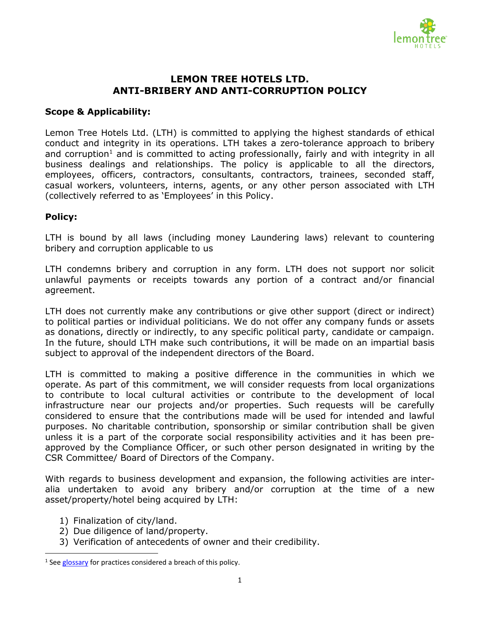

## **LEMON TREE HOTELS LTD. ANTI-BRIBERY AND ANTI-CORRUPTION POLICY**

## **Scope & Applicability:**

Lemon Tree Hotels Ltd. (LTH) is committed to applying the highest standards of ethical conduct and integrity in its operations. LTH takes a zero-tolerance approach to bribery and corruption<sup>1</sup> and is committed to acting professionally, fairly and with integrity in all business dealings and relationships. The policy is applicable to all the directors, employees, officers, contractors, consultants, contractors, trainees, seconded staff, casual workers, volunteers, interns, agents, or any other person associated with LTH (collectively referred to as 'Employees' in this Policy.

## **Policy:**

LTH is bound by all laws (including money Laundering laws) relevant to countering bribery and corruption applicable to us

LTH condemns bribery and corruption in any form. LTH does not support nor solicit unlawful payments or receipts towards any portion of a contract and/or financial agreement.

LTH does not currently make any contributions or give other support (direct or indirect) to political parties or individual politicians. We do not offer any company funds or assets as donations, directly or indirectly, to any specific political party, candidate or campaign. In the future, should LTH make such contributions, it will be made on an impartial basis subject to approval of the independent directors of the Board.

LTH is committed to making a positive difference in the communities in which we operate. As part of this commitment, we will consider requests from local organizations to contribute to local cultural activities or contribute to the development of local infrastructure near our projects and/or properties. Such requests will be carefully considered to ensure that the contributions made will be used for intended and lawful purposes. No charitable contribution, sponsorship or similar contribution shall be given unless it is a part of the corporate social responsibility activities and it has been preapproved by the Compliance Officer, or such other person designated in writing by the CSR Committee/ Board of Directors of the Company.

With regards to business development and expansion, the following activities are interalia undertaken to avoid any bribery and/or corruption at the time of a new asset/property/hotel being acquired by LTH:

1) Finalization of city/land.

 $\overline{a}$ 

- 2) Due diligence of land/property.
- 3) Verification of antecedents of owner and their credibility.

<sup>&</sup>lt;sup>1</sup> See [glossary](#page-2-0) for practices considered a breach of this policy.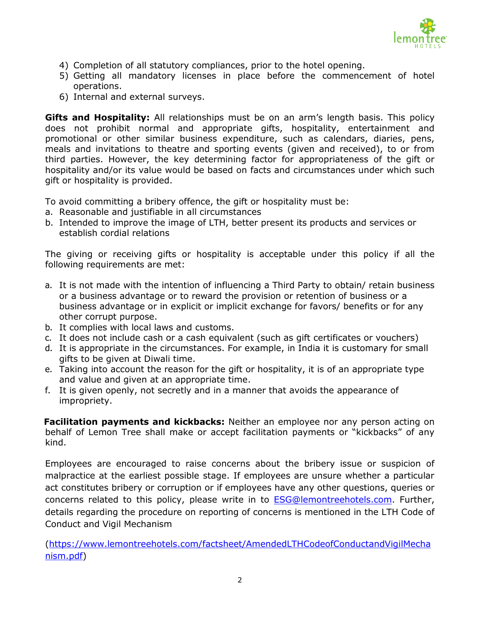

- 4) Completion of all statutory compliances, prior to the hotel opening.
- 5) Getting all mandatory licenses in place before the commencement of hotel operations.
- 6) Internal and external surveys.

**Gifts and Hospitality:** All relationships must be on an arm's length basis. This policy does not prohibit normal and appropriate gifts, hospitality, entertainment and promotional or other similar business expenditure, such as calendars, diaries, pens, meals and invitations to theatre and sporting events (given and received), to or from third parties. However, the key determining factor for appropriateness of the gift or hospitality and/or its value would be based on facts and circumstances under which such gift or hospitality is provided.

To avoid committing a bribery offence, the gift or hospitality must be:

- a. Reasonable and justifiable in all circumstances
- b. Intended to improve the image of LTH, better present its products and services or establish cordial relations

The giving or receiving gifts or hospitality is acceptable under this policy if all the following requirements are met:

- a. It is not made with the intention of influencing a Third Party to obtain/ retain business or a business advantage or to reward the provision or retention of business or a business advantage or in explicit or implicit exchange for favors/ benefits or for any other corrupt purpose.
- b. It complies with local laws and customs.
- c. It does not include cash or a cash equivalent (such as gift certificates or vouchers)
- d. It is appropriate in the circumstances. For example, in India it is customary for small gifts to be given at Diwali time.
- e. Taking into account the reason for the gift or hospitality, it is of an appropriate type and value and given at an appropriate time.
- f. It is given openly, not secretly and in a manner that avoids the appearance of impropriety.

 **Facilitation payments and kickbacks:** Neither an employee nor any person acting on behalf of Lemon Tree shall make or accept facilitation payments or "kickbacks" of any kind.

Employees are encouraged to raise concerns about the bribery issue or suspicion of malpractice at the earliest possible stage. If employees are unsure whether a particular act constitutes bribery or corruption or if employees have any other questions, queries or concerns related to this policy, please write in to **ESG@lemontreehotels.com**. Further, details regarding the procedure on reporting of concerns is mentioned in the LTH Code of Conduct and Vigil Mechanism

[\(https://www.lemontreehotels.com/factsheet/AmendedLTHCodeofConductandVigilMecha](https://www.lemontreehotels.com/factsheet/AmendedLTHCodeofConductandVigilMechanism.pdf) [nism.pdf\)](https://www.lemontreehotels.com/factsheet/AmendedLTHCodeofConductandVigilMechanism.pdf)